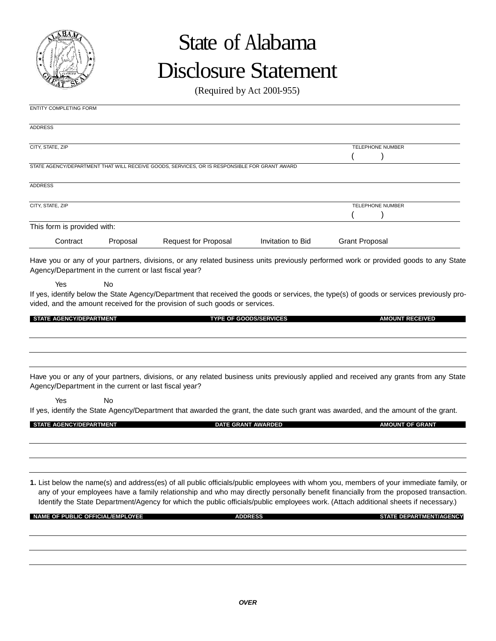

# State of Alabama Disclosure Statement

(Required by Act 2001-955)

| ENTITY COMPLETING FORM                                |           |                                                                                              |                               |                                                                                                                                                                                                                                                                                                                                                                                                                      |  |
|-------------------------------------------------------|-----------|----------------------------------------------------------------------------------------------|-------------------------------|----------------------------------------------------------------------------------------------------------------------------------------------------------------------------------------------------------------------------------------------------------------------------------------------------------------------------------------------------------------------------------------------------------------------|--|
| <b>ADDRESS</b>                                        |           |                                                                                              |                               |                                                                                                                                                                                                                                                                                                                                                                                                                      |  |
| CITY, STATE, ZIP                                      |           |                                                                                              |                               | TELEPHONE NUMBER                                                                                                                                                                                                                                                                                                                                                                                                     |  |
|                                                       |           | STATE AGENCY/DEPARTMENT THAT WILL RECEIVE GOODS, SERVICES, OR IS RESPONSIBLE FOR GRANT AWARD |                               |                                                                                                                                                                                                                                                                                                                                                                                                                      |  |
| <b>ADDRESS</b>                                        |           |                                                                                              |                               |                                                                                                                                                                                                                                                                                                                                                                                                                      |  |
| CITY, STATE, ZIP                                      |           |                                                                                              |                               | TELEPHONE NUMBER                                                                                                                                                                                                                                                                                                                                                                                                     |  |
| This form is provided with:                           |           |                                                                                              |                               |                                                                                                                                                                                                                                                                                                                                                                                                                      |  |
| Contract                                              | Proposal  | Request for Proposal                                                                         | Invitation to Bid             | <b>Grant Proposal</b>                                                                                                                                                                                                                                                                                                                                                                                                |  |
| Agency/Department in the current or last fiscal year? |           |                                                                                              |                               | Have you or any of your partners, divisions, or any related business units previously performed work or provided goods to any State                                                                                                                                                                                                                                                                                  |  |
| Yes                                                   | <b>No</b> | vided, and the amount received for the provision of such goods or services.                  |                               | If yes, identify below the State Agency/Department that received the goods or services, the type(s) of goods or services previously pro-                                                                                                                                                                                                                                                                             |  |
| <b>STATE AGENCY/DEPARTMENT</b>                        |           |                                                                                              | <b>TYPE OF GOODS/SERVICES</b> | <b>AMOUNT RECEIVED</b>                                                                                                                                                                                                                                                                                                                                                                                               |  |
| Agency/Department in the current or last fiscal year? |           |                                                                                              |                               | Have you or any of your partners, divisions, or any related business units previously applied and received any grants from any State                                                                                                                                                                                                                                                                                 |  |
| Yes                                                   | No        |                                                                                              |                               | If yes, identify the State Agency/Department that awarded the grant, the date such grant was awarded, and the amount of the grant.                                                                                                                                                                                                                                                                                   |  |
| <b>STATE AGENCY/DEPARTMENT</b>                        |           |                                                                                              | DATE GRANT AWARDED            | <b>AMOUNT OF GRANT</b>                                                                                                                                                                                                                                                                                                                                                                                               |  |
|                                                       |           |                                                                                              |                               |                                                                                                                                                                                                                                                                                                                                                                                                                      |  |
|                                                       |           |                                                                                              |                               | 1. List below the name(s) and address(es) of all public officials/public employees with whom you, members of your immediate family, or<br>any of your employees have a family relationship and who may directly personally benefit financially from the proposed transaction.<br>Identify the State Department/Agency for which the public officials/public employees work. (Attach additional sheets if necessary.) |  |

**ADDRESS STATE DEPARTMENT/AGENCY CONSUMING ADDRESS AND ADDRESS STATE DEPARTMENT/AGENCY**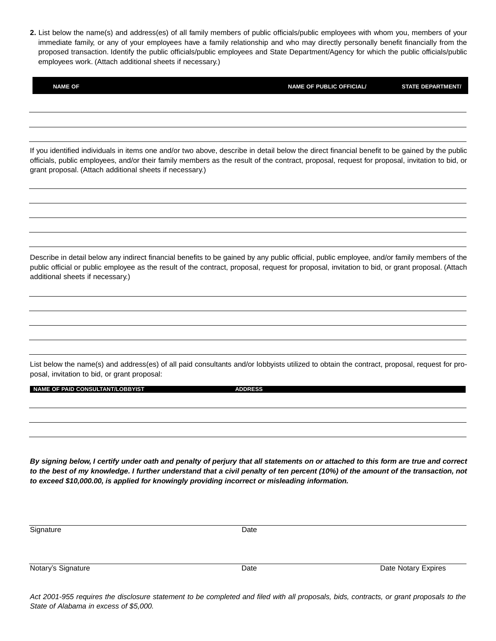**2.** List below the name(s) and address(es) of all family members of public officials/public employees with whom you, members of your immediate family, or any of your employees have a family relationship and who may directly personally benefit financially from the proposed transaction. Identify the public officials/public employees and State Department/Agency for which the public officials/public employees work. (Attach additional sheets if necessary.)

| <b>NAME OF</b>                                                                                                                                                                                                                                                                                                                                             | <b>NAME OF PUBLIC OFFICIAL/</b> | <b>STATE DEPARTMENT/</b> |
|------------------------------------------------------------------------------------------------------------------------------------------------------------------------------------------------------------------------------------------------------------------------------------------------------------------------------------------------------------|---------------------------------|--------------------------|
|                                                                                                                                                                                                                                                                                                                                                            |                                 |                          |
|                                                                                                                                                                                                                                                                                                                                                            |                                 |                          |
| If you identified individuals in items one and/or two above, describe in detail below the direct financial benefit to be gained by the public<br>officials, public employees, and/or their family members as the result of the contract, proposal, request for proposal, invitation to bid, or<br>grant proposal. (Attach additional sheets if necessary.) |                                 |                          |
|                                                                                                                                                                                                                                                                                                                                                            |                                 |                          |
|                                                                                                                                                                                                                                                                                                                                                            |                                 |                          |
| Describe in detail below any indirect financial benefits to be gained by any public official, public employee, and/or family members of the<br>public official or public employee as the result of the contract, proposal, request for proposal, invitation to bid, or grant proposal. (Attach<br>additional sheets if necessary.)                         |                                 |                          |
|                                                                                                                                                                                                                                                                                                                                                            |                                 |                          |
|                                                                                                                                                                                                                                                                                                                                                            |                                 |                          |
| List below the name(s) and address(es) of all paid consultants and/or lobbyists utilized to obtain the contract, proposal, request for pro-<br>posal, invitation to bid, or grant proposal:                                                                                                                                                                |                                 |                          |
| <b>NAME OF PAID CONSULTANT/LOBBYIST</b>                                                                                                                                                                                                                                                                                                                    | <b>ADDRESS</b>                  |                          |
|                                                                                                                                                                                                                                                                                                                                                            |                                 |                          |
|                                                                                                                                                                                                                                                                                                                                                            |                                 |                          |

*By signing below, I certify under oath and penalty of perjury that all statements on or attached to this form are true and correct to the best of my knowledge. I further understand that a civil penalty of ten percent (10%) of the amount of the transaction, not to exceed \$10,000.00, is applied for knowingly providing incorrect or misleading information.*

| Signature          | Date |                     |
|--------------------|------|---------------------|
|                    |      |                     |
|                    |      |                     |
|                    |      |                     |
| Notary's Signature | Date | Date Notary Expires |
|                    |      |                     |
|                    |      |                     |

*Act 2001-955 requires the disclosure statement to be completed and filed with all proposals, bids, contracts, or grant proposals to the State of Alabama in excess of \$5,000.*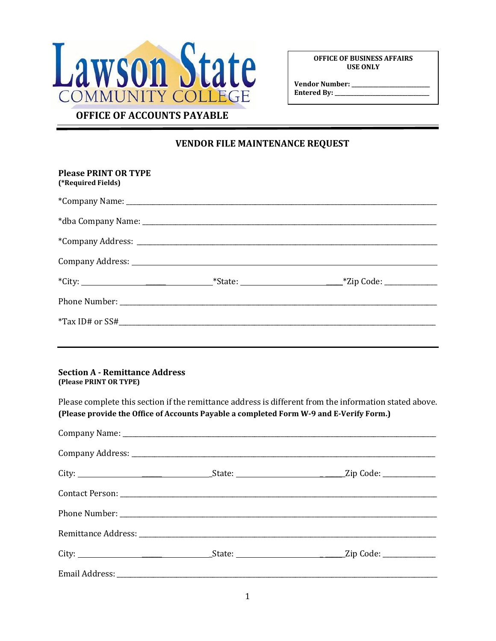

**OFFICE OF BUSINESS AFFAIRS USE ONLY**

**Vendor Number: \_\_\_\_\_\_\_\_\_\_\_\_\_\_\_\_\_\_\_\_\_\_\_\_\_\_\_\_\_ Entered By: \_\_\_\_\_\_\_\_\_\_\_\_\_\_\_\_\_\_\_\_\_\_\_\_\_\_\_\_\_\_\_\_\_\_\_**

## **VENDOR FILE MAINTENANCE REQUEST**

| <b>Please PRINT OR TYPE</b><br>(*Required Fields)                                                                                                                                                 |  |
|---------------------------------------------------------------------------------------------------------------------------------------------------------------------------------------------------|--|
|                                                                                                                                                                                                   |  |
|                                                                                                                                                                                                   |  |
|                                                                                                                                                                                                   |  |
|                                                                                                                                                                                                   |  |
|                                                                                                                                                                                                   |  |
|                                                                                                                                                                                                   |  |
|                                                                                                                                                                                                   |  |
|                                                                                                                                                                                                   |  |
| <b>Section A - Remittance Address</b><br>(Please PRINT OR TYPE)                                                                                                                                   |  |
| Please complete this section if the remittance address is different from the information stated above.<br>(Please provide the Office of Accounts Payable a completed Form W-9 and E-Verify Form.) |  |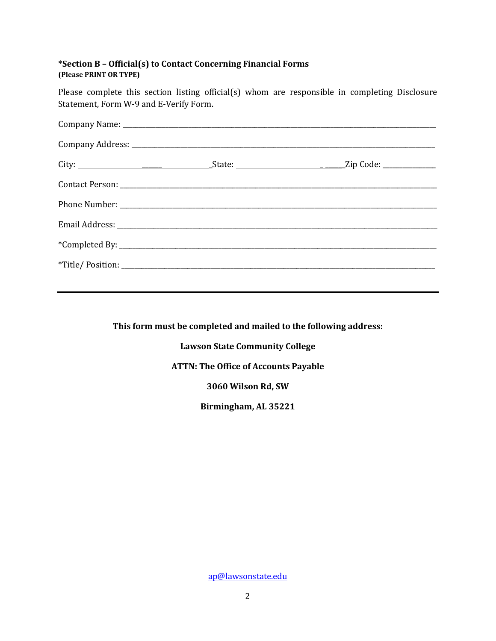#### **\*Section B – Official(s) to Contact Concerning Financial Forms (Please PRINT OR TYPE)**

Please complete this section listing official(s) whom are responsible in completing Disclosure Statement, Form W-9 and E-Verify Form.

**This form must be completed and mailed to the following address:**

**Lawson State Community College**

#### **ATTN: The Office of Accounts Payable**

**3060 Wilson Rd, SW**

**Birmingham, AL 35221**

[ap@lawsonstate.edu](mailto:ap@lawsonstate.edu)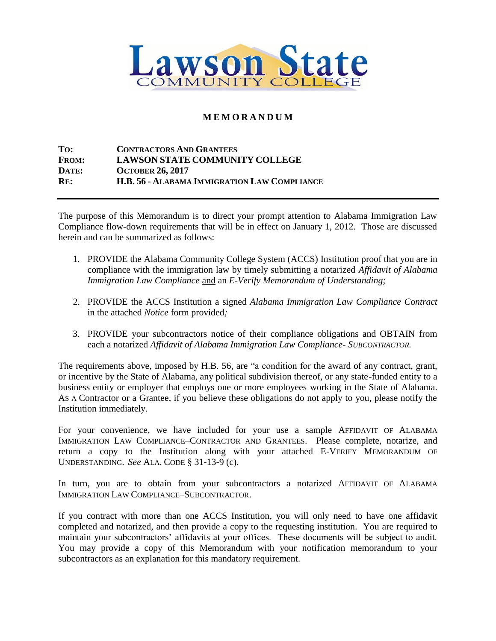

### **M E M O R A N D U M**

**TO: CONTRACTORS AND GRANTEES FROM: LAWSON STATE COMMUNITY COLLEGE DATE: OCTOBER 26, 2017 RE: H.B. 56 - ALABAMA IMMIGRATION LAW COMPLIANCE**

The purpose of this Memorandum is to direct your prompt attention to Alabama Immigration Law Compliance flow-down requirements that will be in effect on January 1, 2012. Those are discussed herein and can be summarized as follows:

- 1. PROVIDE the Alabama Community College System (ACCS) Institution proof that you are in compliance with the immigration law by timely submitting a notarized *Affidavit of Alabama Immigration Law Compliance* and an *E-Verify Memorandum of Understanding;*
- 2. PROVIDE the ACCS Institution a signed *Alabama Immigration Law Compliance Contract*  in the attached *Notice* form provided*;*
- 3. PROVIDE your subcontractors notice of their compliance obligations and OBTAIN from each a notarized *Affidavit of Alabama Immigration Law Compliance- SUBCONTRACTOR.*

The requirements above, imposed by H.B. 56, are "a condition for the award of any contract, grant, or incentive by the State of Alabama, any political subdivision thereof, or any state-funded entity to a business entity or employer that employs one or more employees working in the State of Alabama. AS A Contractor or a Grantee, if you believe these obligations do not apply to you, please notify the Institution immediately.

For your convenience, we have included for your use a sample AFFIDAVIT OF ALABAMA IMMIGRATION LAW COMPLIANCE–CONTRACTOR AND GRANTEES. Please complete, notarize, and return a copy to the Institution along with your attached E-VERIFY MEMORANDUM OF UNDERSTANDING. *See* ALA. CODE § 31-13-9 (c).

In turn, you are to obtain from your subcontractors a notarized AFFIDAVIT OF ALABAMA IMMIGRATION LAW COMPLIANCE–SUBCONTRACTOR.

If you contract with more than one ACCS Institution, you will only need to have one affidavit completed and notarized, and then provide a copy to the requesting institution. You are required to maintain your subcontractors' affidavits at your offices. These documents will be subject to audit. You may provide a copy of this Memorandum with your notification memorandum to your subcontractors as an explanation for this mandatory requirement.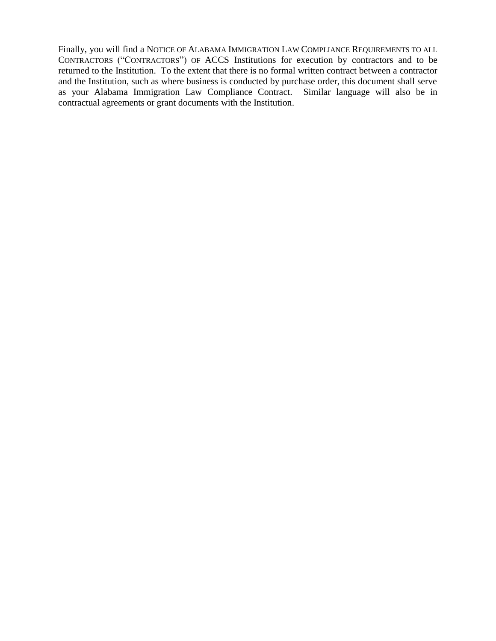Finally, you will find a NOTICE OF ALABAMA IMMIGRATION LAW COMPLIANCE REQUIREMENTS TO ALL CONTRACTORS ("CONTRACTORS") OF ACCS Institutions for execution by contractors and to be returned to the Institution. To the extent that there is no formal written contract between a contractor and the Institution, such as where business is conducted by purchase order, this document shall serve as your Alabama Immigration Law Compliance Contract. Similar language will also be in contractual agreements or grant documents with the Institution.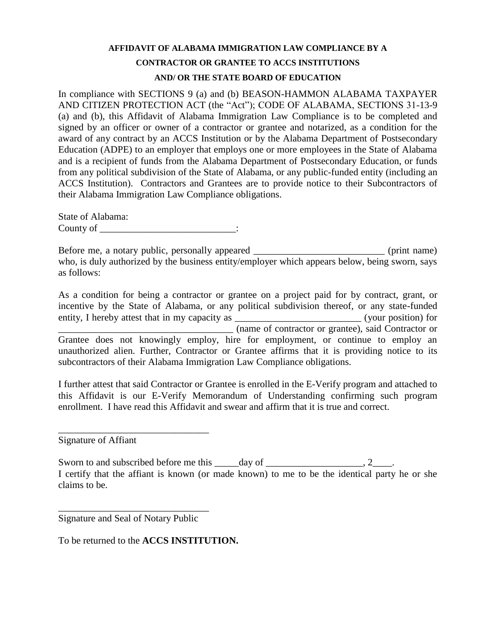## **AFFIDAVIT OF ALABAMA IMMIGRATION LAW COMPLIANCE BY A CONTRACTOR OR GRANTEE TO ACCS INSTITUTIONS**

#### **AND/ OR THE STATE BOARD OF EDUCATION**

In compliance with SECTIONS 9 (a) and (b) BEASON-HAMMON ALABAMA TAXPAYER AND CITIZEN PROTECTION ACT (the "Act"); CODE OF ALABAMA, SECTIONS 31-13-9 (a) and (b), this Affidavit of Alabama Immigration Law Compliance is to be completed and signed by an officer or owner of a contractor or grantee and notarized, as a condition for the award of any contract by an ACCS Institution or by the Alabama Department of Postsecondary Education (ADPE) to an employer that employs one or more employees in the State of Alabama and is a recipient of funds from the Alabama Department of Postsecondary Education, or funds from any political subdivision of the State of Alabama, or any public-funded entity (including an ACCS Institution). Contractors and Grantees are to provide notice to their Subcontractors of their Alabama Immigration Law Compliance obligations.

State of Alabama: County of the country of the country of  $\cdot$ 

Before me, a notary public, personally appeared \_\_\_\_\_\_\_\_\_\_\_\_\_\_\_\_\_\_\_\_\_\_\_\_\_\_\_\_\_\_\_ (print name) who, is duly authorized by the business entity/employer which appears below, being sworn, says as follows:

As a condition for being a contractor or grantee on a project paid for by contract, grant, or incentive by the State of Alabama, or any political subdivision thereof, or any state-funded entity, I hereby attest that in my capacity as \_\_\_\_\_\_\_\_\_\_\_\_\_\_\_\_\_\_\_\_\_\_\_\_\_\_\_\_\_\_\_\_(your position) for \_\_\_\_\_\_\_\_\_\_\_\_\_\_\_\_\_\_\_\_\_\_\_\_\_\_\_\_\_\_\_\_\_\_\_\_ (name of contractor or grantee), said Contractor or Grantee does not knowingly employ, hire for employment, or continue to employ an unauthorized alien. Further, Contractor or Grantee affirms that it is providing notice to its subcontractors of their Alabama Immigration Law Compliance obligations.

I further attest that said Contractor or Grantee is enrolled in the E-Verify program and attached to this Affidavit is our E-Verify Memorandum of Understanding confirming such program enrollment. I have read this Affidavit and swear and affirm that it is true and correct.

Signature of Affiant

Sworn to and subscribed before me this  $\_\_\_day$  of  $\_\_\_\_\_\_\_$ , 2 $\_\_\_\_\_$ . I certify that the affiant is known (or made known) to me to be the identical party he or she claims to be.

\_\_\_\_\_\_\_\_\_\_\_\_\_\_\_\_\_\_\_\_\_\_\_\_\_\_\_\_\_\_\_ Signature and Seal of Notary Public

\_\_\_\_\_\_\_\_\_\_\_\_\_\_\_\_\_\_\_\_\_\_\_\_\_\_\_\_\_\_\_

To be returned to the **ACCS INSTITUTION.**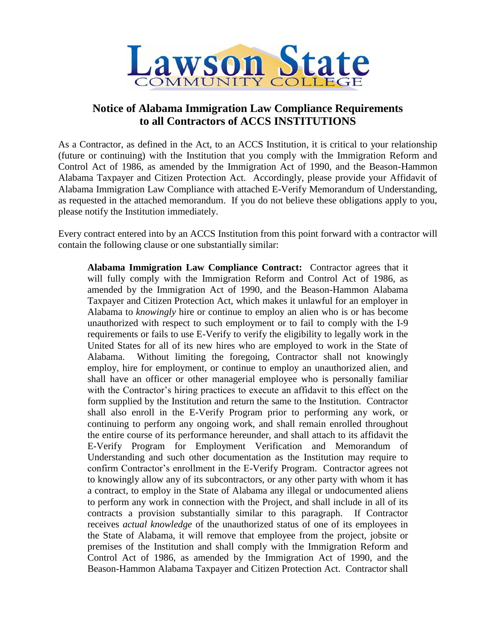

## **Notice of Alabama Immigration Law Compliance Requirements to all Contractors of ACCS INSTITUTIONS**

As a Contractor, as defined in the Act, to an ACCS Institution, it is critical to your relationship (future or continuing) with the Institution that you comply with the Immigration Reform and Control Act of 1986, as amended by the Immigration Act of 1990, and the Beason-Hammon Alabama Taxpayer and Citizen Protection Act. Accordingly, please provide your Affidavit of Alabama Immigration Law Compliance with attached E-Verify Memorandum of Understanding, as requested in the attached memorandum. If you do not believe these obligations apply to you, please notify the Institution immediately.

Every contract entered into by an ACCS Institution from this point forward with a contractor will contain the following clause or one substantially similar:

**Alabama Immigration Law Compliance Contract:** Contractor agrees that it will fully comply with the Immigration Reform and Control Act of 1986, as amended by the Immigration Act of 1990, and the Beason-Hammon Alabama Taxpayer and Citizen Protection Act, which makes it unlawful for an employer in Alabama to *knowingly* hire or continue to employ an alien who is or has become unauthorized with respect to such employment or to fail to comply with the I-9 requirements or fails to use E-Verify to verify the eligibility to legally work in the United States for all of its new hires who are employed to work in the State of Alabama. Without limiting the foregoing, Contractor shall not knowingly employ, hire for employment, or continue to employ an unauthorized alien, and shall have an officer or other managerial employee who is personally familiar with the Contractor's hiring practices to execute an affidavit to this effect on the form supplied by the Institution and return the same to the Institution. Contractor shall also enroll in the E-Verify Program prior to performing any work, or continuing to perform any ongoing work, and shall remain enrolled throughout the entire course of its performance hereunder, and shall attach to its affidavit the E-Verify Program for Employment Verification and Memorandum of Understanding and such other documentation as the Institution may require to confirm Contractor's enrollment in the E-Verify Program. Contractor agrees not to knowingly allow any of its subcontractors, or any other party with whom it has a contract, to employ in the State of Alabama any illegal or undocumented aliens to perform any work in connection with the Project, and shall include in all of its contracts a provision substantially similar to this paragraph. If Contractor receives *actual knowledge* of the unauthorized status of one of its employees in the State of Alabama, it will remove that employee from the project, jobsite or premises of the Institution and shall comply with the Immigration Reform and Control Act of 1986, as amended by the Immigration Act of 1990, and the Beason-Hammon Alabama Taxpayer and Citizen Protection Act. Contractor shall